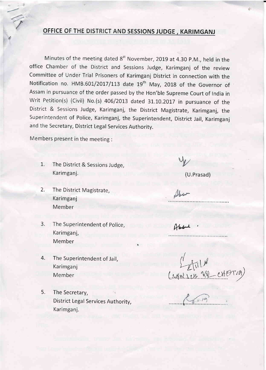## OFFICE OF THE DISTRICT AND SESSIONS JUDGE, KARIMGANJ

Minutes of the meeting dated 8<sup>st</sup> November, 2019 at 4.30 P.M., held in the office Chamber of the District and Sessions Judge, Karimganj of the review Committee of Under Trial Prisoners of Karimganj District in connection with the Notification no. HMB.601/2017/113 date  $19<sup>th</sup>$  May, 2018 of the Governor of Assam in pursuance of the order passed by the Hon'ble Supreme Court of lndia in Writ Petition(s) (Civil) No.(s)  $406/2013$  dated 31.10.2017 in pursuance of the District & Sessions Judge, Karimganj, the District Magistrate, Karimganj, the Superintendent of Police, Karimganj, the Superintendent, District Jail, Karimganj and the Secretary, District Legal Services Authority.

Members present in the meeting :

- 1. The District & Sessions Judge, Karimganj. (U.Prasad)
- 2. The District Magistrate, Karimganj Member
- 3. The Superintendent of police, Karimganj, Member
- 4. The Superintendent of Jail, Karimganj Member
- 5. The Secretary, District Legal Services Authority, Karimganj.

Shoe

 $A$ bb $A$ 

 $\int_{\mathbb{R}} f(x) dx$  $(1401111870)$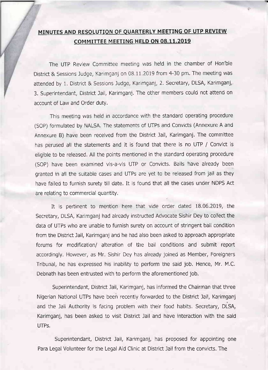## MINUTES AND RESOLUTION OF QUARTERLY MEETING OF UTP REVIEW COMMITTEE MEETING HELD ON 08.11.2019

The UTP Review Committee meeting was held in the chamber of Hon'ble District & Sessions Judge, Karimganj on 08.11.2019 from 4-30 pm. The meeting was attended by 1. District & Sessions Judge, Karimganj, 2. Secretary, DLSA, Karimganj, 3. Superintendant, District Jail, Karimganj, The other members could not attend on account of Law and Order dutY.

This meeting was held in accordance with the standard operating procedure (SOP) formulated by NALSA. The statements of UTPS and Convicts (Annexure A and Annexure B) have been received from the District Jail, Karimganj. The committee has perused all the statements and it is found that there is no UTP / Convict is eligible to be released. All the points mentioned in the standard operating procedure (SOP) have been examined vis-a-vis UTP or Convicts. Bails have already been granted in all the suitable cases and UTPs are yet to be released from jail as they have failed to furnish surety till date. it is found that all the cases under NDPS Act are relating to commercial quantity.

It is peftinent to mention here that vide order dated 18.06.2019, the Secretary, DLSA, Karimganj had already instructed Advocate Sishir Dey to collect the data of UTPs who are unable to furnish surety on account of stringent bail condition from the District Jail, Karlmganj and he had also been asked to approach appropriate forums for modification/ alteration of the bail conditions and submit report accordingly. However, as Mr. Sishir Dey has already joined as Member, Foreigners Tribunal, he has expressed his inability to perform the said job. Hence, Mr. M.C. Debnath has been entrusted with to perform the aforementioned job.

Superintendant, District Jail, Karimganj, has informed the Chairman that three Nigerian National UTPs have been recently forwarded to the District lail, Karimganj and the Jail Authority is facing problem with their food habits, Secretary, DLSA, Karimganj, has been asked to visit District Jail and have interaction with the said UTPs.

Superintendant, District Jail, Karimganj, has proposed for appointing one Para Legal Volunteer for the Legal Aid Clinic at District lail from the convicts. The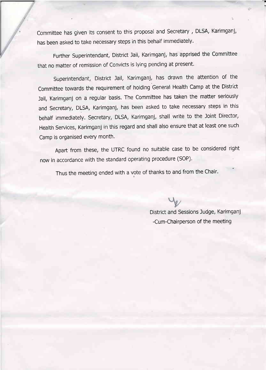committee has given its consent to this proposal and secretary , DLSA, Karimganj, has been asked to take necessary steps in this behalf immediately.

Further superintendant, District lail, Karimganj, has apprised the committee that no matter of remission of Convicts is lying pending at present.

Superintendant, District Jail, Karimganj, has drawn the attention of the Committee towards the requirement of holding General Health Camp at the District lail, Karimganj on a regular basis. The Committee has taken the matter seriously and secretary, DLSA, Karimganj, has been asked to take necessary steps in this behalf immediately. Secretary, DLSA, Karimganj, shall write to the Joint Director, Health Services, Karimganj in this regard and shall also ensure that at least one such Camp is organised every month.

Apart from these, the UTRC found no suitable case to be considered right now in accordance with the standard operating procedure (SOP).

Thus the meeting ended with a vote of thanks to and from the Chair.

District and Sessions ludge, Karimganj -Cum-Chairperson of the meeting

f?